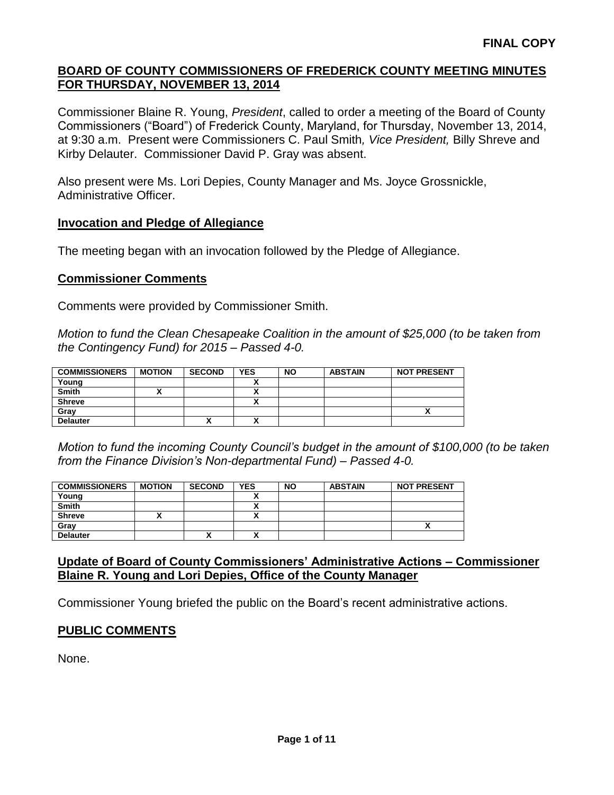Commissioner Blaine R. Young, *President*, called to order a meeting of the Board of County Commissioners ("Board") of Frederick County, Maryland, for Thursday, November 13, 2014, at 9:30 a.m. Present were Commissioners C. Paul Smith*, Vice President,* Billy Shreve and Kirby Delauter. Commissioner David P. Gray was absent.

Also present were Ms. Lori Depies, County Manager and Ms. Joyce Grossnickle, Administrative Officer.

#### **Invocation and Pledge of Allegiance**

The meeting began with an invocation followed by the Pledge of Allegiance.

#### **Commissioner Comments**

Comments were provided by Commissioner Smith.

*Motion to fund the Clean Chesapeake Coalition in the amount of \$25,000 (to be taken from the Contingency Fund) for 2015 – Passed 4-0.*

| <b>COMMISSIONERS</b> | <b>MOTION</b> | <b>SECOND</b> | <b>YES</b> | <b>NO</b> | <b>ABSTAIN</b> | <b>NOT PRESENT</b> |
|----------------------|---------------|---------------|------------|-----------|----------------|--------------------|
| Young                |               |               |            |           |                |                    |
| <b>Smith</b>         |               |               |            |           |                |                    |
| <b>Shreve</b>        |               |               | ~          |           |                |                    |
| Grav                 |               |               |            |           |                | Λ                  |
| <b>Delauter</b>      |               | ↗             | v          |           |                |                    |

*Motion to fund the incoming County Council's budget in the amount of \$100,000 (to be taken from the Finance Division's Non-departmental Fund) – Passed 4-0.*

| <b>COMMISSIONERS</b> | <b>MOTION</b> | <b>SECOND</b> | <b>YES</b>           | <b>NO</b> | <b>ABSTAIN</b> | <b>NOT PRESENT</b> |
|----------------------|---------------|---------------|----------------------|-----------|----------------|--------------------|
| Young                |               |               |                      |           |                |                    |
| <b>Smith</b>         |               |               | v<br>^               |           |                |                    |
| <b>Shreve</b>        |               |               |                      |           |                |                    |
| Gray                 |               |               |                      |           |                |                    |
| <b>Delauter</b>      |               |               | $\ddot{\phantom{1}}$ |           |                |                    |

### **Update of Board of County Commissioners' Administrative Actions – Commissioner Blaine R. Young and Lori Depies, Office of the County Manager**

Commissioner Young briefed the public on the Board's recent administrative actions.

### **PUBLIC COMMENTS**

None.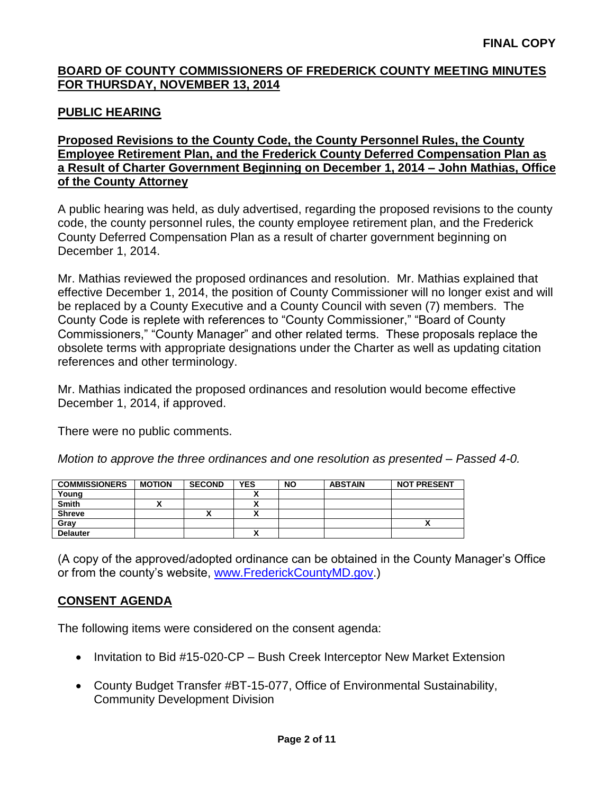## **PUBLIC HEARING**

### **Proposed Revisions to the County Code, the County Personnel Rules, the County Employee Retirement Plan, and the Frederick County Deferred Compensation Plan as a Result of Charter Government Beginning on December 1, 2014 – John Mathias, Office of the County Attorney**

A public hearing was held, as duly advertised, regarding the proposed revisions to the county code, the county personnel rules, the county employee retirement plan, and the Frederick County Deferred Compensation Plan as a result of charter government beginning on December 1, 2014.

Mr. Mathias reviewed the proposed ordinances and resolution. Mr. Mathias explained that effective December 1, 2014, the position of County Commissioner will no longer exist and will be replaced by a County Executive and a County Council with seven (7) members. The County Code is replete with references to "County Commissioner," "Board of County Commissioners," "County Manager" and other related terms. These proposals replace the obsolete terms with appropriate designations under the Charter as well as updating citation references and other terminology.

Mr. Mathias indicated the proposed ordinances and resolution would become effective December 1, 2014, if approved.

There were no public comments.

*Motion to approve the three ordinances and one resolution as presented – Passed 4-0.*

| <b>COMMISSIONERS</b> | <b>MOTION</b> | <b>SECOND</b> | <b>YES</b> | <b>NO</b> | <b>ABSTAIN</b> | <b>NOT PRESENT</b> |
|----------------------|---------------|---------------|------------|-----------|----------------|--------------------|
| Young                |               |               |            |           |                |                    |
| Smith                |               |               |            |           |                |                    |
| <b>Shreve</b>        |               |               | v          |           |                |                    |
| Gray                 |               |               |            |           |                | ^                  |
| <b>Delauter</b>      |               |               |            |           |                |                    |

(A copy of the approved/adopted ordinance can be obtained in the County Manager's Office or from the county's website, [www.FrederickCountyMD.gov.](http://www.frederickcountymd.gov/))

# **CONSENT AGENDA**

The following items were considered on the consent agenda:

- Invitation to Bid #15-020-CP Bush Creek Interceptor New Market Extension
- County Budget Transfer #BT-15-077, Office of Environmental Sustainability, Community Development Division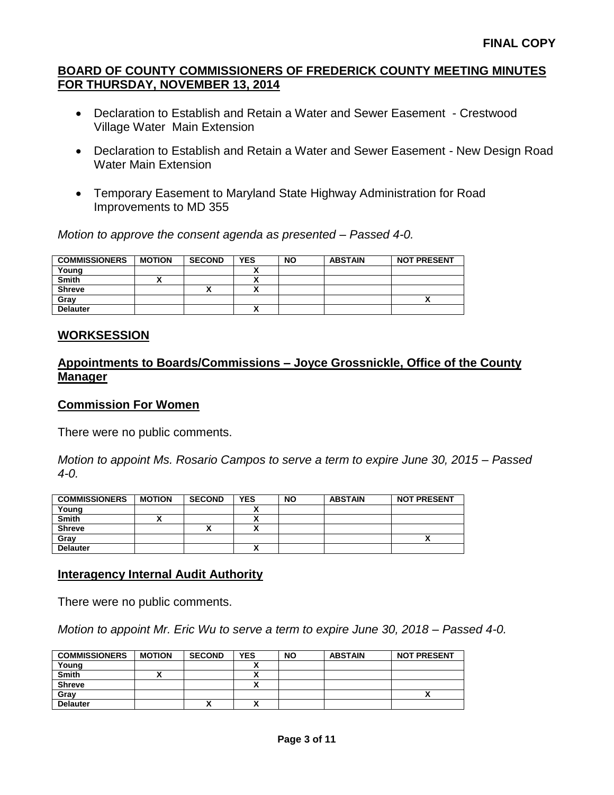- Declaration to Establish and Retain a Water and Sewer Easement Crestwood Village Water Main Extension
- Declaration to Establish and Retain a Water and Sewer Easement New Design Road Water Main Extension
- Temporary Easement to Maryland State Highway Administration for Road Improvements to MD 355

*Motion to approve the consent agenda as presented – Passed 4-0.*

| <b>COMMISSIONERS</b> | <b>MOTION</b> | <b>SECOND</b> | <b>YES</b>                | <b>NO</b> | <b>ABSTAIN</b> | <b>NOT PRESENT</b> |
|----------------------|---------------|---------------|---------------------------|-----------|----------------|--------------------|
| Young                |               |               |                           |           |                |                    |
| <b>Smith</b>         |               |               |                           |           |                |                    |
| <b>Shreve</b>        |               |               | $\ddot{\phantom{0}}$<br>~ |           |                |                    |
| Grav                 |               |               |                           |           |                |                    |
| <b>Delauter</b>      |               |               | ^                         |           |                |                    |

## **WORKSESSION**

## **Appointments to Boards/Commissions – Joyce Grossnickle, Office of the County Manager**

### **Commission For Women**

There were no public comments.

*Motion to appoint Ms. Rosario Campos to serve a term to expire June 30, 2015 – Passed 4-0.*

| <b>COMMISSIONERS</b> | <b>MOTION</b> | <b>SECOND</b> | <b>YES</b> | <b>NO</b> | <b>ABSTAIN</b> | <b>NOT PRESENT</b> |
|----------------------|---------------|---------------|------------|-----------|----------------|--------------------|
| Young                |               |               |            |           |                |                    |
| <b>Smith</b>         |               |               | ٠.<br>~    |           |                |                    |
| <b>Shreve</b>        |               |               |            |           |                |                    |
| Gray                 |               |               |            |           |                | Λ                  |
| <b>Delauter</b>      |               |               | v          |           |                |                    |

### **Interagency Internal Audit Authority**

There were no public comments.

*Motion to appoint Mr. Eric Wu to serve a term to expire June 30, 2018 – Passed 4-0.*

| <b>COMMISSIONERS</b> | <b>MOTION</b> | <b>SECOND</b> | <b>YES</b>   | <b>NO</b> | <b>ABSTAIN</b> | <b>NOT PRESENT</b> |
|----------------------|---------------|---------------|--------------|-----------|----------------|--------------------|
| Young                |               |               |              |           |                |                    |
| Smith                |               |               |              |           |                |                    |
| <b>Shreve</b>        |               |               |              |           |                |                    |
| Grav                 |               |               |              |           |                |                    |
| <b>Delauter</b>      |               | "             | $\mathbf{v}$ |           |                |                    |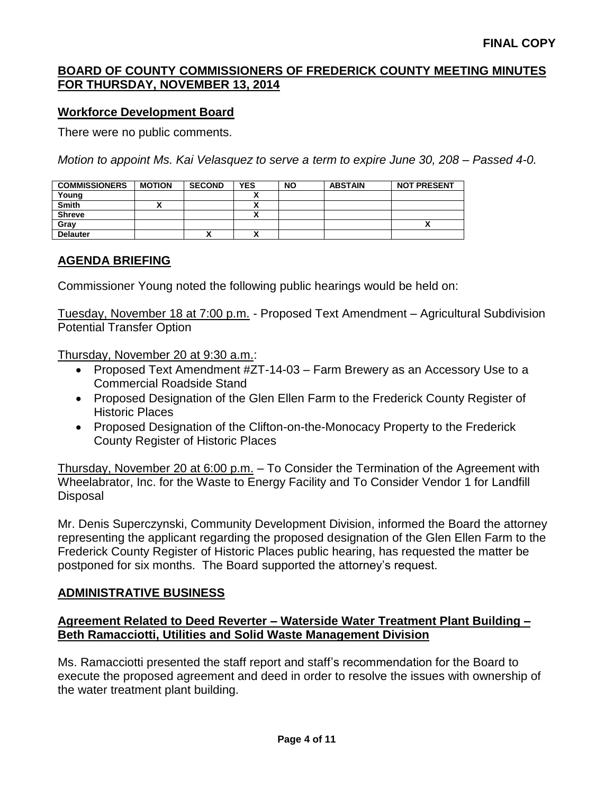### **Workforce Development Board**

There were no public comments.

*Motion to appoint Ms. Kai Velasquez to serve a term to expire June 30, 208 – Passed 4-0.*

| <b>COMMISSIONERS</b> | <b>MOTION</b> | <b>SECOND</b> | YES | <b>NO</b> | <b>ABSTAIN</b> | <b>NOT PRESENT</b> |
|----------------------|---------------|---------------|-----|-----------|----------------|--------------------|
| Young                |               |               |     |           |                |                    |
| <b>Smith</b>         |               |               |     |           |                |                    |
| <b>Shreve</b>        |               |               | v   |           |                |                    |
| Gray                 |               |               |     |           |                |                    |
| <b>Delauter</b>      |               | Λ             |     |           |                |                    |

## **AGENDA BRIEFING**

Commissioner Young noted the following public hearings would be held on:

Tuesday, November 18 at 7:00 p.m. - Proposed Text Amendment – Agricultural Subdivision Potential Transfer Option

Thursday, November 20 at 9:30 a.m.:

- Proposed Text Amendment #ZT-14-03 Farm Brewery as an Accessory Use to a Commercial Roadside Stand
- Proposed Designation of the Glen Ellen Farm to the Frederick County Register of Historic Places
- Proposed Designation of the Clifton-on-the-Monocacy Property to the Frederick County Register of Historic Places

Thursday, November 20 at 6:00 p.m. – To Consider the Termination of the Agreement with Wheelabrator, Inc. for the Waste to Energy Facility and To Consider Vendor 1 for Landfill Disposal

Mr. Denis Superczynski, Community Development Division, informed the Board the attorney representing the applicant regarding the proposed designation of the Glen Ellen Farm to the Frederick County Register of Historic Places public hearing, has requested the matter be postponed for six months. The Board supported the attorney's request.

### **ADMINISTRATIVE BUSINESS**

### **Agreement Related to Deed Reverter – Waterside Water Treatment Plant Building – Beth Ramacciotti, Utilities and Solid Waste Management Division**

Ms. Ramacciotti presented the staff report and staff's recommendation for the Board to execute the proposed agreement and deed in order to resolve the issues with ownership of the water treatment plant building.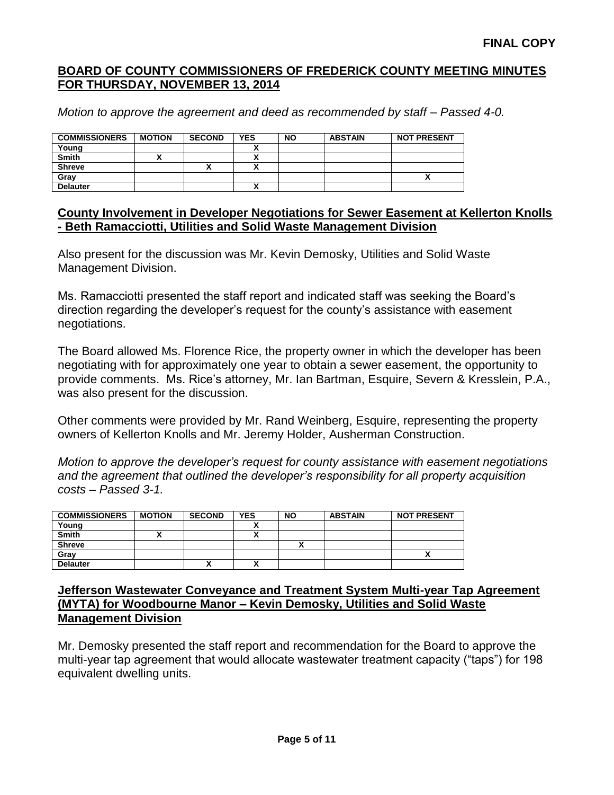*Motion to approve the agreement and deed as recommended by staff – Passed 4-0.*

| <b>COMMISSIONERS</b> | <b>MOTION</b> | <b>SECOND</b> | <b>YES</b> | <b>NO</b> | <b>ABSTAIN</b> | <b>NOT PRESENT</b> |
|----------------------|---------------|---------------|------------|-----------|----------------|--------------------|
| Young                |               |               |            |           |                |                    |
| <b>Smith</b>         |               |               |            |           |                |                    |
| <b>Shreve</b>        |               | "             |            |           |                |                    |
| Grav                 |               |               |            |           |                | ~                  |
| <b>Delauter</b>      |               |               | ,,,        |           |                |                    |

### **County Involvement in Developer Negotiations for Sewer Easement at Kellerton Knolls - Beth Ramacciotti, Utilities and Solid Waste Management Division**

Also present for the discussion was Mr. Kevin Demosky, Utilities and Solid Waste Management Division.

Ms. Ramacciotti presented the staff report and indicated staff was seeking the Board's direction regarding the developer's request for the county's assistance with easement negotiations.

The Board allowed Ms. Florence Rice, the property owner in which the developer has been negotiating with for approximately one year to obtain a sewer easement, the opportunity to provide comments. Ms. Rice's attorney, Mr. Ian Bartman, Esquire, Severn & Kresslein, P.A., was also present for the discussion.

Other comments were provided by Mr. Rand Weinberg, Esquire, representing the property owners of Kellerton Knolls and Mr. Jeremy Holder, Ausherman Construction.

*Motion to approve the developer's request for county assistance with easement negotiations and the agreement that outlined the developer's responsibility for all property acquisition costs – Passed 3-1.*

| <b>COMMISSIONERS</b> | <b>MOTION</b> | <b>SECOND</b> | <b>YES</b>   | <b>NO</b> | <b>ABSTAIN</b> | <b>NOT PRESENT</b> |
|----------------------|---------------|---------------|--------------|-----------|----------------|--------------------|
| Young                |               |               |              |           |                |                    |
| <b>Smith</b>         |               |               |              |           |                |                    |
| <b>Shreve</b>        |               |               |              |           |                |                    |
| Gray                 |               |               |              |           |                |                    |
| <b>Delauter</b>      |               | "             | $\mathbf{v}$ |           |                |                    |

#### **Jefferson Wastewater Conveyance and Treatment System Multi-year Tap Agreement (MYTA) for Woodbourne Manor – Kevin Demosky, Utilities and Solid Waste Management Division**

Mr. Demosky presented the staff report and recommendation for the Board to approve the multi-year tap agreement that would allocate wastewater treatment capacity ("taps") for 198 equivalent dwelling units.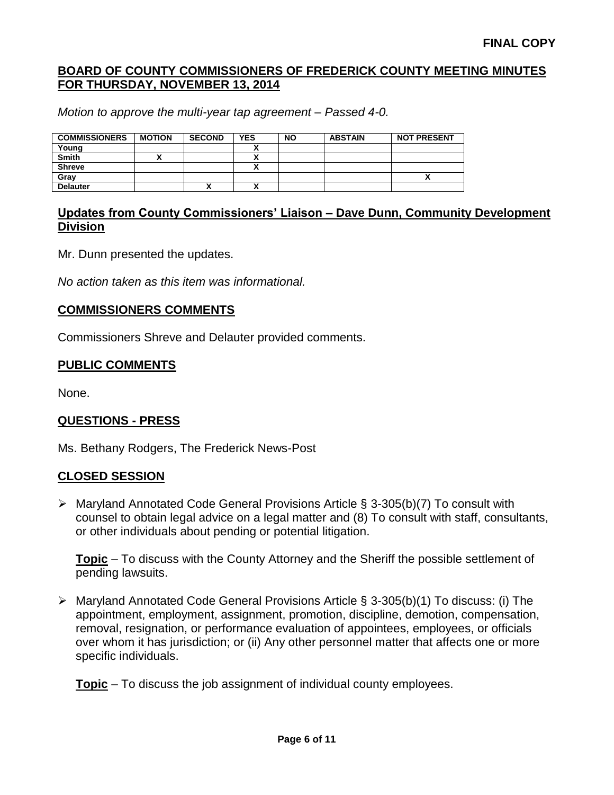*Motion to approve the multi-year tap agreement – Passed 4-0.*

| <b>COMMISSIONERS</b> | <b>MOTION</b> | <b>SECOND</b> | <b>YES</b> | <b>NO</b> | <b>ABSTAIN</b> | <b>NOT PRESENT</b> |
|----------------------|---------------|---------------|------------|-----------|----------------|--------------------|
| Young                |               |               |            |           |                |                    |
| <b>Smith</b>         |               |               |            |           |                |                    |
| <b>Shreve</b>        |               |               |            |           |                |                    |
| Grav                 |               |               |            |           |                | ↗                  |
| <b>Delauter</b>      |               | Λ             |            |           |                |                    |

## **Updates from County Commissioners' Liaison – Dave Dunn, Community Development Division**

Mr. Dunn presented the updates.

*No action taken as this item was informational.*

#### **COMMISSIONERS COMMENTS**

Commissioners Shreve and Delauter provided comments.

#### **PUBLIC COMMENTS**

None.

### **QUESTIONS - PRESS**

Ms. Bethany Rodgers, The Frederick News-Post

### **CLOSED SESSION**

 Maryland Annotated Code General Provisions Article § 3-305(b)(7) To consult with counsel to obtain legal advice on a legal matter and (8) To consult with staff, consultants, or other individuals about pending or potential litigation.

**Topic** – To discuss with the County Attorney and the Sheriff the possible settlement of pending lawsuits.

 Maryland Annotated Code General Provisions Article § 3-305(b)(1) To discuss: (i) The appointment, employment, assignment, promotion, discipline, demotion, compensation, removal, resignation, or performance evaluation of appointees, employees, or officials over whom it has jurisdiction; or (ii) Any other personnel matter that affects one or more specific individuals.

**Topic** – To discuss the job assignment of individual county employees.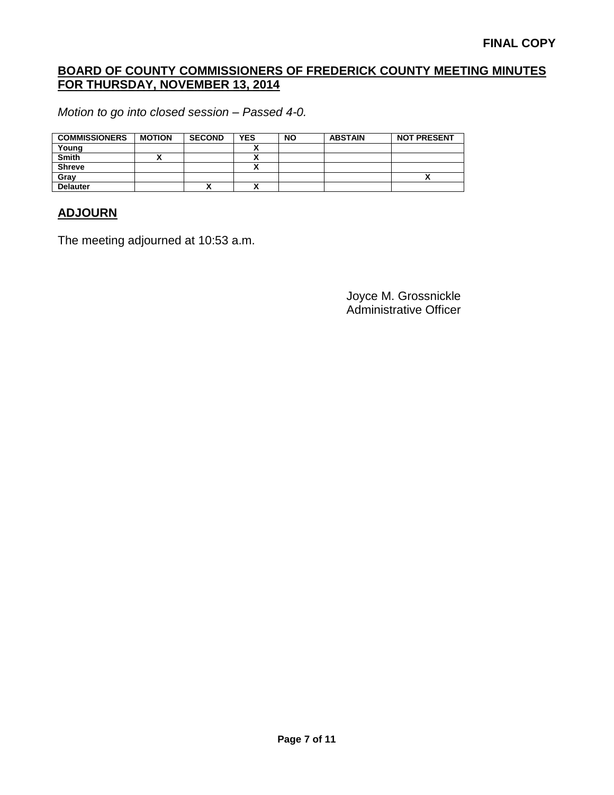*Motion to go into closed session – Passed 4-0.*

| <b>COMMISSIONERS</b> | <b>MOTION</b> | <b>SECOND</b> | <b>YES</b> | <b>NO</b> | <b>ABSTAIN</b> | <b>NOT PRESENT</b> |
|----------------------|---------------|---------------|------------|-----------|----------------|--------------------|
| Young                |               |               |            |           |                |                    |
| <b>Smith</b>         |               |               |            |           |                |                    |
| <b>Shreve</b>        |               |               |            |           |                |                    |
| Gray                 |               |               |            |           |                |                    |
| <b>Delauter</b>      |               |               |            |           |                |                    |

## **ADJOURN**

The meeting adjourned at 10:53 a.m.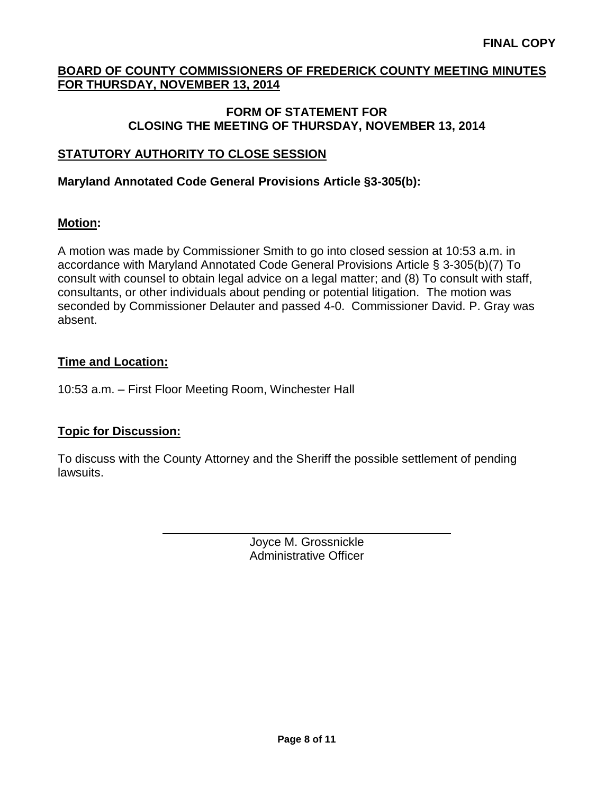### **FORM OF STATEMENT FOR CLOSING THE MEETING OF THURSDAY, NOVEMBER 13, 2014**

# **STATUTORY AUTHORITY TO CLOSE SESSION**

## **Maryland Annotated Code General Provisions Article §3-305(b):**

## **Motion:**

A motion was made by Commissioner Smith to go into closed session at 10:53 a.m. in accordance with Maryland Annotated Code General Provisions Article § 3-305(b)(7) To consult with counsel to obtain legal advice on a legal matter; and (8) To consult with staff, consultants, or other individuals about pending or potential litigation. The motion was seconded by Commissioner Delauter and passed 4-0. Commissioner David. P. Gray was absent.

## **Time and Location:**

10:53 a.m. – First Floor Meeting Room, Winchester Hall

# **Topic for Discussion:**

To discuss with the County Attorney and the Sheriff the possible settlement of pending lawsuits.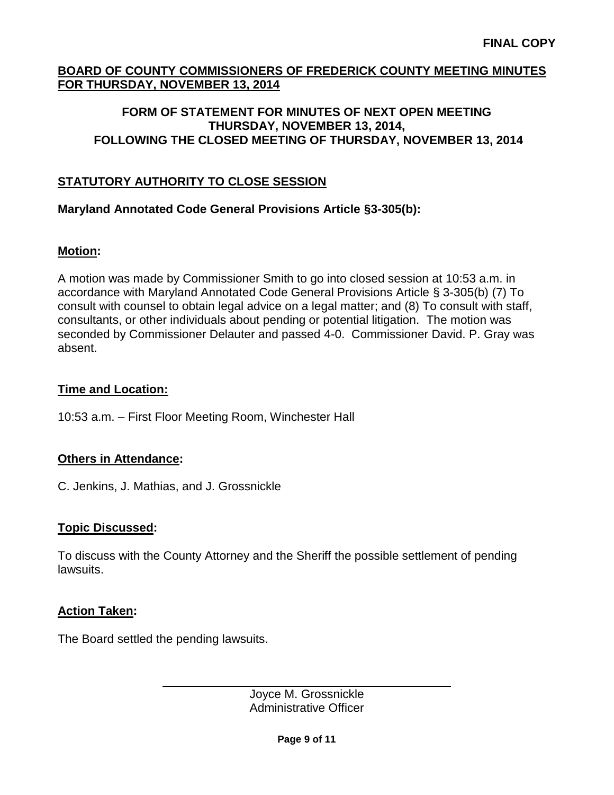## **FORM OF STATEMENT FOR MINUTES OF NEXT OPEN MEETING THURSDAY, NOVEMBER 13, 2014, FOLLOWING THE CLOSED MEETING OF THURSDAY, NOVEMBER 13, 2014**

# **STATUTORY AUTHORITY TO CLOSE SESSION**

## **Maryland Annotated Code General Provisions Article §3-305(b):**

## **Motion:**

A motion was made by Commissioner Smith to go into closed session at 10:53 a.m. in accordance with Maryland Annotated Code General Provisions Article § 3-305(b) (7) To consult with counsel to obtain legal advice on a legal matter; and (8) To consult with staff, consultants, or other individuals about pending or potential litigation. The motion was seconded by Commissioner Delauter and passed 4-0. Commissioner David. P. Gray was absent.

### **Time and Location:**

10:53 a.m. – First Floor Meeting Room, Winchester Hall

### **Others in Attendance:**

C. Jenkins, J. Mathias, and J. Grossnickle

### **Topic Discussed:**

To discuss with the County Attorney and the Sheriff the possible settlement of pending lawsuits.

### **Action Taken:**

The Board settled the pending lawsuits.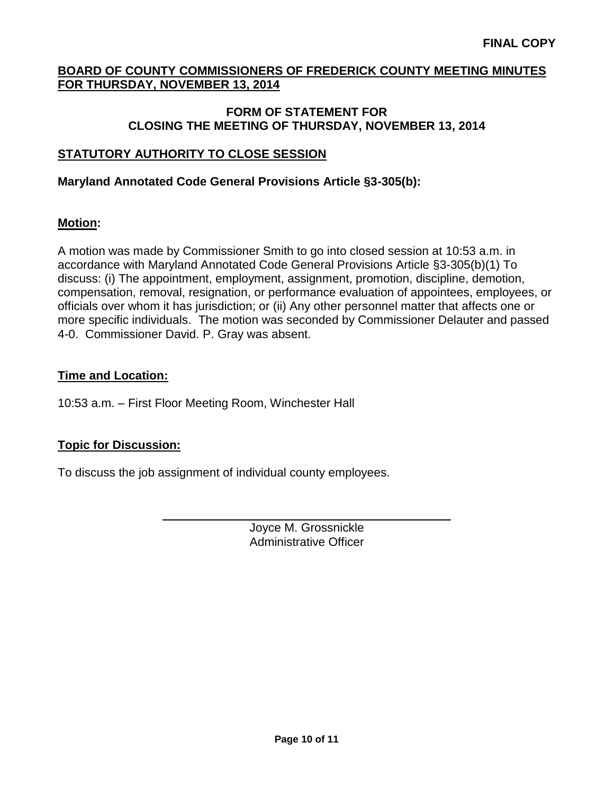### **FORM OF STATEMENT FOR CLOSING THE MEETING OF THURSDAY, NOVEMBER 13, 2014**

# **STATUTORY AUTHORITY TO CLOSE SESSION**

## **Maryland Annotated Code General Provisions Article §3-305(b):**

## **Motion:**

A motion was made by Commissioner Smith to go into closed session at 10:53 a.m. in accordance with Maryland Annotated Code General Provisions Article §3-305(b)(1) To discuss: (i) The appointment, employment, assignment, promotion, discipline, demotion, compensation, removal, resignation, or performance evaluation of appointees, employees, or officials over whom it has jurisdiction; or (ii) Any other personnel matter that affects one or more specific individuals. The motion was seconded by Commissioner Delauter and passed 4-0. Commissioner David. P. Gray was absent.

## **Time and Location:**

10:53 a.m. – First Floor Meeting Room, Winchester Hall

# **Topic for Discussion:**

To discuss the job assignment of individual county employees.